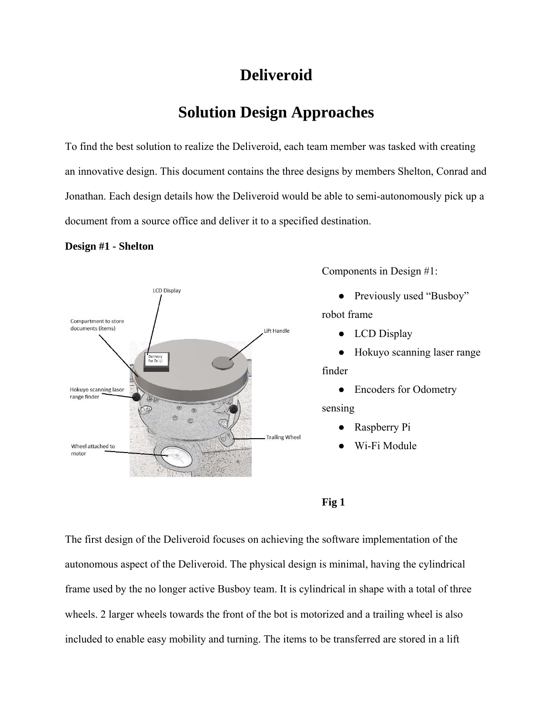# **Deliveroid**

# **Solution Design Approaches**

To find the best solution to realize the Deliveroid, each team member was tasked with creating an innovative design. This document contains the three designs by members Shelton, Conrad and Jonathan. Each design details how the Deliveroid would be able to semi-autonomously pick up a document from a source office and deliver it to a specified destination.

#### **Design #1 - Shelton**



Components in Design #1:

- Previously used "Busboy" robot frame
	- LCD Display
	- Hokuyo scanning laser range

#### finder

- Encoders for Odometry sensing
	- Raspberry Pi
	- Wi-Fi Module
- **Fig 1**

The first design of the Deliveroid focuses on achieving the software implementation of the autonomous aspect of the Deliveroid. The physical design is minimal, having the cylindrical frame used by the no longer active Busboy team. It is cylindrical in shape with a total of three wheels. 2 larger wheels towards the front of the bot is motorized and a trailing wheel is also included to enable easy mobility and turning. The items to be transferred are stored in a lift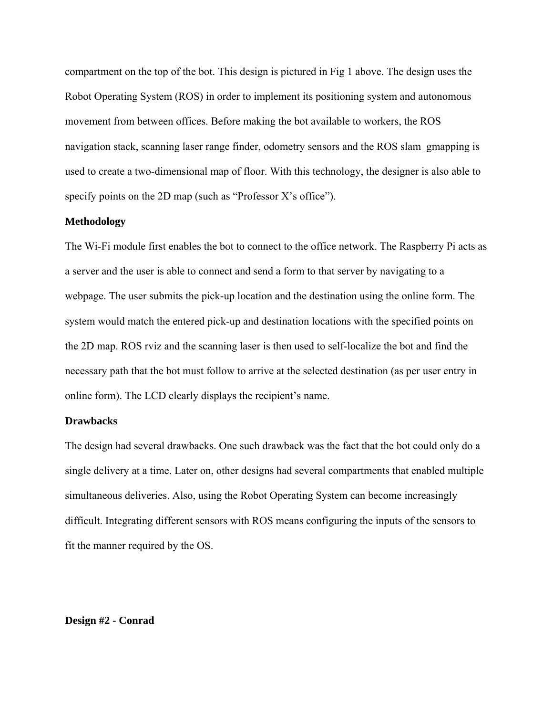compartment on the top of the bot. This design is pictured in Fig 1 above. The design uses the Robot Operating System (ROS) in order to implement its positioning system and autonomous movement from between offices. Before making the bot available to workers, the ROS navigation stack, scanning laser range finder, odometry sensors and the ROS slam\_gmapping is used to create a two-dimensional map of floor. With this technology, the designer is also able to specify points on the 2D map (such as "Professor X's office").

#### **Methodology**

The Wi-Fi module first enables the bot to connect to the office network. The Raspberry Pi acts as a server and the user is able to connect and send a form to that server by navigating to a webpage. The user submits the pick-up location and the destination using the online form. The system would match the entered pick-up and destination locations with the specified points on the 2D map. ROS rviz and the scanning laser is then used to self-localize the bot and find the necessary path that the bot must follow to arrive at the selected destination (as per user entry in online form). The LCD clearly displays the recipient's name.

#### **Drawbacks**

The design had several drawbacks. One such drawback was the fact that the bot could only do a single delivery at a time. Later on, other designs had several compartments that enabled multiple simultaneous deliveries. Also, using the Robot Operating System can become increasingly difficult. Integrating different sensors with ROS means configuring the inputs of the sensors to fit the manner required by the OS.

#### **Design #2 - Conrad**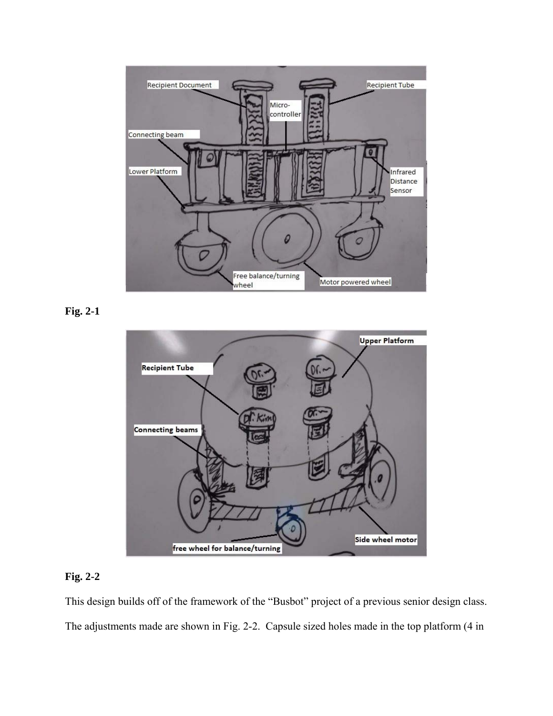

**Fig. 2-1** 



# **Fig. 2-2**

This design builds off of the framework of the "Busbot" project of a previous senior design class. The adjustments made are shown in Fig. 2-2. Capsule sized holes made in the top platform (4 in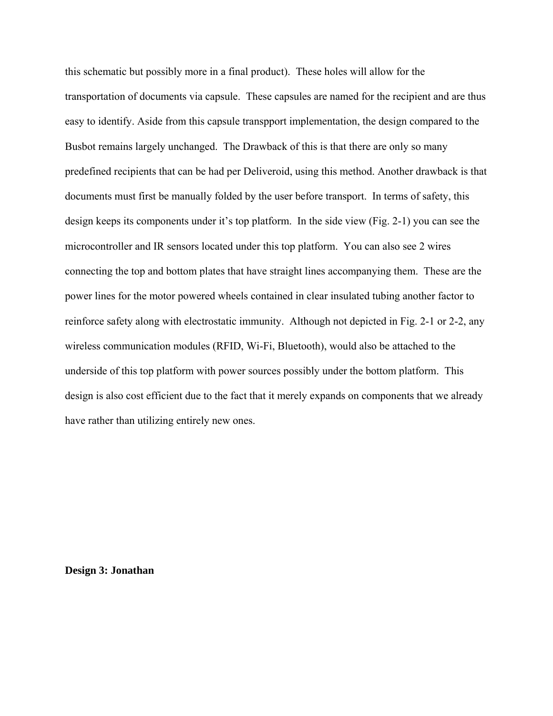this schematic but possibly more in a final product). These holes will allow for the transportation of documents via capsule. These capsules are named for the recipient and are thus easy to identify. Aside from this capsule transpport implementation, the design compared to the Busbot remains largely unchanged. The Drawback of this is that there are only so many predefined recipients that can be had per Deliveroid, using this method. Another drawback is that documents must first be manually folded by the user before transport. In terms of safety, this design keeps its components under it's top platform. In the side view (Fig. 2-1) you can see the microcontroller and IR sensors located under this top platform. You can also see 2 wires connecting the top and bottom plates that have straight lines accompanying them. These are the power lines for the motor powered wheels contained in clear insulated tubing another factor to reinforce safety along with electrostatic immunity. Although not depicted in Fig. 2-1 or 2-2, any wireless communication modules (RFID, Wi-Fi, Bluetooth), would also be attached to the underside of this top platform with power sources possibly under the bottom platform. This design is also cost efficient due to the fact that it merely expands on components that we already have rather than utilizing entirely new ones.

**Design 3: Jonathan**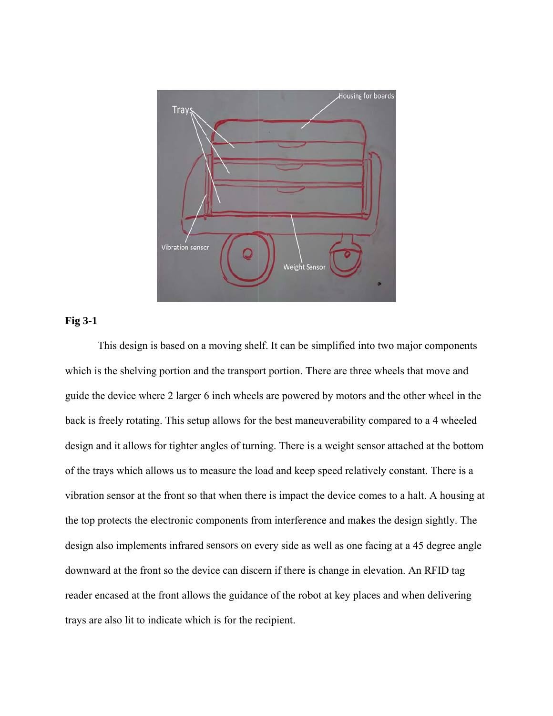

#### **Fig 3-1**

This design is based on a moving shelf. It can be simplified into two major components which is the shelving portion and the transport portion. There are three wheels that move and which is the shelving portion and the transport portion. There are three wheels that move and<br>guide the device where 2 larger 6 inch wheels are powered by motors and the other wheel in the back is freely rotating. This setup allows for the best maneuverability compared to a 4 wheeled design and it allows for tighter angles of turning. There is a weight sensor attached at the bottom of the trays which allows us to measure the load and keep speed relatively constant. There is a vibration sensor at the front so that when there is impact the device comes to a halt. A housing at the top protects the electronic components from interference and makes the design sightly. The design also implements infrared sensors on every side as well as one facing at a 45 degree angle downward at the front so the device can discern if there is change in elevation. An RFID tag downward at the front so the device can discern if there is change in elevation. An RFID tag<br>reader encased at the front allows the guidance of the robot at key places and when delivering trays are also lit to indicate which is for the recipient.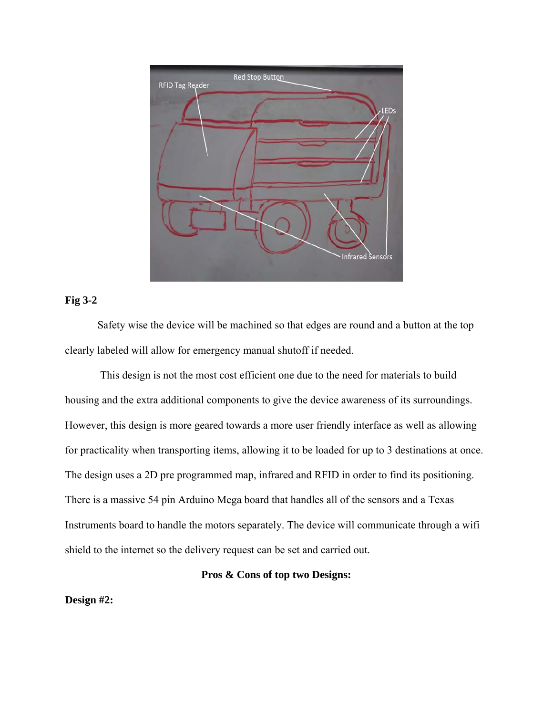

#### **Fig 3-2**

Safety wise the device will be machined so that edges are round and a button at the top clearly labeled will allow for emergency manual shutoff if needed.

 This design is not the most cost efficient one due to the need for materials to build housing and the extra additional components to give the device awareness of its surroundings. However, this design is more geared towards a more user friendly interface as well as allowing for practicality when transporting items, allowing it to be loaded for up to 3 destinations at once. The design uses a 2D pre programmed map, infrared and RFID in order to find its positioning. There is a massive 54 pin Arduino Mega board that handles all of the sensors and a Texas Instruments board to handle the motors separately. The device will communicate through a wifi shield to the internet so the delivery request can be set and carried out.

#### **Pros & Cons of top two Designs:**

**Design #2:**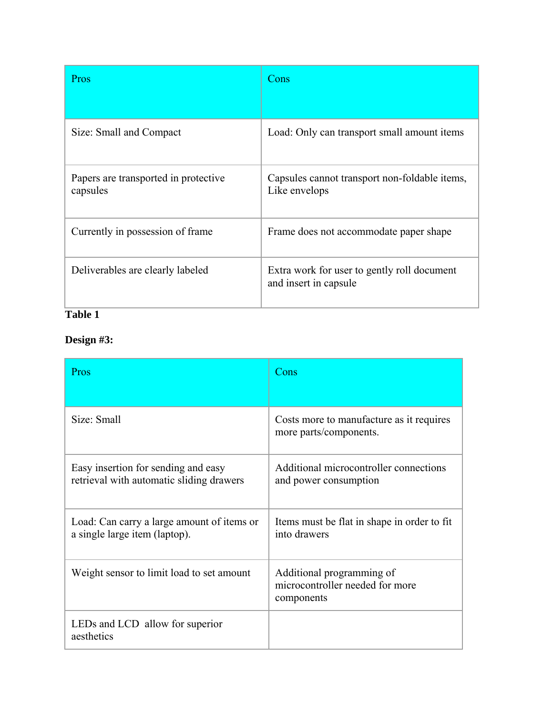| Pros                                             | Cons                                                                 |
|--------------------------------------------------|----------------------------------------------------------------------|
| Size: Small and Compact                          | Load: Only can transport small amount items                          |
| Papers are transported in protective<br>capsules | Capsules cannot transport non-foldable items,<br>Like envelops       |
| Currently in possession of frame                 | Frame does not accommodate paper shape                               |
| Deliverables are clearly labeled                 | Extra work for user to gently roll document<br>and insert in capsule |

# **Table 1**

# **Design #3:**

| Pros                                                                            | Cons                                                                       |
|---------------------------------------------------------------------------------|----------------------------------------------------------------------------|
| Size: Small                                                                     | Costs more to manufacture as it requires<br>more parts/components.         |
| Easy insertion for sending and easy<br>retrieval with automatic sliding drawers | Additional microcontroller connections<br>and power consumption            |
| Load: Can carry a large amount of items or<br>a single large item (laptop).     | Items must be flat in shape in order to fit<br>into drawers                |
| Weight sensor to limit load to set amount                                       | Additional programming of<br>microcontroller needed for more<br>components |
| LEDs and LCD allow for superior<br>aesthetics                                   |                                                                            |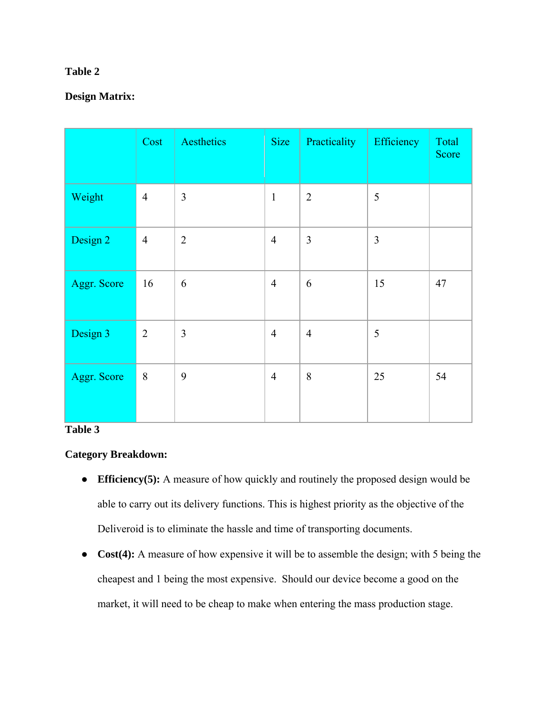## **Table 2**

## **Design Matrix:**

|             | Cost           | Aesthetics     | <b>Size</b>    | Practicality   | Efficiency     | Total<br>Score |
|-------------|----------------|----------------|----------------|----------------|----------------|----------------|
| Weight      | $\overline{4}$ | $\overline{3}$ | $\mathbf{1}$   | $\overline{2}$ | 5              |                |
| Design 2    | $\overline{4}$ | $\overline{2}$ | $\overline{4}$ | $\overline{3}$ | $\overline{3}$ |                |
| Aggr. Score | 16             | 6              | $\overline{4}$ | 6              | 15             | 47             |
| Design 3    | $\overline{2}$ | $\overline{3}$ | $\overline{4}$ | $\overline{4}$ | 5              |                |
| Aggr. Score | 8              | 9              | $\overline{4}$ | 8              | 25             | 54             |

#### **Table 3**

## **Category Breakdown:**

- **Efficiency(5):** A measure of how quickly and routinely the proposed design would be able to carry out its delivery functions. This is highest priority as the objective of the Deliveroid is to eliminate the hassle and time of transporting documents.
- **Cost(4):** A measure of how expensive it will be to assemble the design; with 5 being the cheapest and 1 being the most expensive. Should our device become a good on the market, it will need to be cheap to make when entering the mass production stage.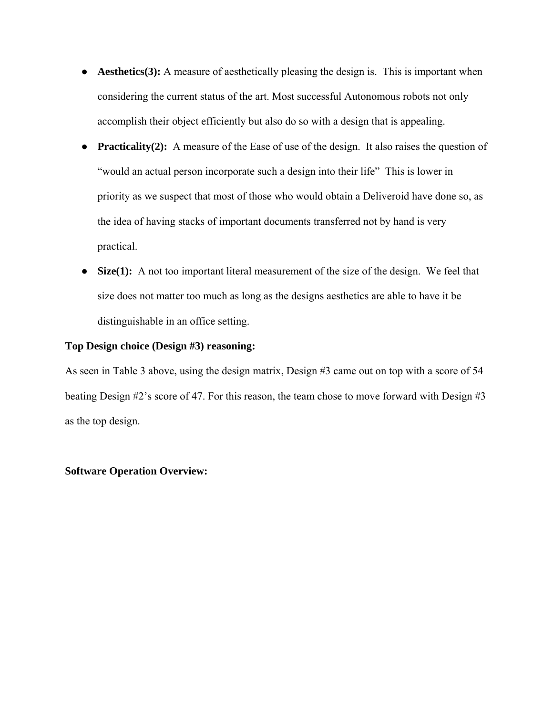- **Aesthetics(3):** A measure of aesthetically pleasing the design is. This is important when considering the current status of the art. Most successful Autonomous robots not only accomplish their object efficiently but also do so with a design that is appealing.
- **Practicality(2):** A measure of the Ease of use of the design. It also raises the question of "would an actual person incorporate such a design into their life" This is lower in priority as we suspect that most of those who would obtain a Deliveroid have done so, as the idea of having stacks of important documents transferred not by hand is very practical.
- **Size(1):** A not too important literal measurement of the size of the design. We feel that size does not matter too much as long as the designs aesthetics are able to have it be distinguishable in an office setting.

#### **Top Design choice (Design #3) reasoning:**

As seen in Table 3 above, using the design matrix, Design #3 came out on top with a score of 54 beating Design #2's score of 47. For this reason, the team chose to move forward with Design #3 as the top design.

#### **Software Operation Overview:**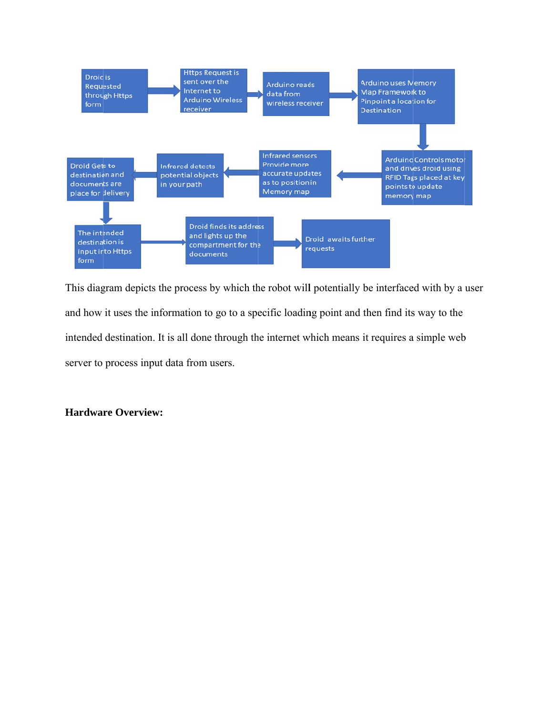

This diagram depicts the process by which the robot will potentially be interfaced with by a user and how it uses the information to go to a specific loading point and then find its way to the intended destination. It is all done through the internet which means it requires a simple web server to process input data from users.

#### **Hardware Overview:**